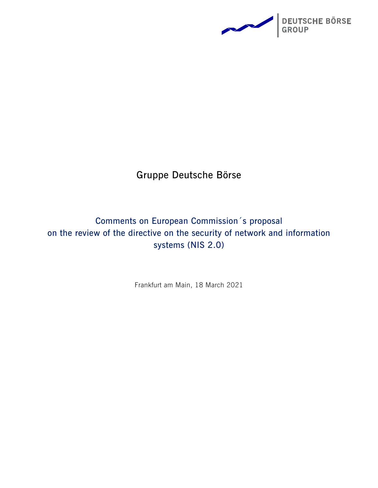

## **Gruppe Deutsche Börse**

## **Comments on European Commission´s proposal on the review of the directive on the security of network and information systems (NIS 2.0)**

Frankfurt am Main, 18 March 2021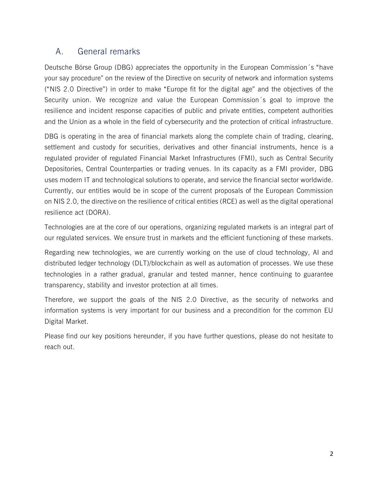## A. General remarks

Deutsche Börse Group (DBG) appreciates the opportunity in the European Commission´s "have your say procedure" on the review of the Directive on security of network and information systems ("NIS 2.0 Directive") in order to make "Europe fit for the digital age" and the objectives of the Security union. We recognize and value the European Commission´s goal to improve the resilience and incident response capacities of public and private entities, competent authorities and the Union as a whole in the field of cybersecurity and the protection of critical infrastructure.

DBG is operating in the area of financial markets along the complete chain of trading, clearing, settlement and custody for securities, derivatives and other financial instruments, hence is a regulated provider of regulated Financial Market Infrastructures (FMI), such as Central Security Depositories, Central Counterparties or trading venues. In its capacity as a FMI provider, DBG uses modern IT and technological solutions to operate, and service the financial sector worldwide. Currently, our entities would be in scope of the current proposals of the European Commission on NIS 2.0, the directive on the resilience of critical entities (RCE) as well as the digital operational resilience act (DORA).

Technologies are at the core of our operations, organizing regulated markets is an integral part of our regulated services. We ensure trust in markets and the efficient functioning of these markets.

Regarding new technologies, we are currently working on the use of cloud technology, AI and distributed ledger technology (DLT)/blockchain as well as automation of processes. We use these technologies in a rather gradual, granular and tested manner, hence continuing to guarantee transparency, stability and investor protection at all times.

Therefore, we support the goals of the NIS 2.0 Directive, as the security of networks and information systems is very important for our business and a precondition for the common EU Digital Market.

Please find our key positions hereunder, if you have further questions, please do not hesitate to reach out.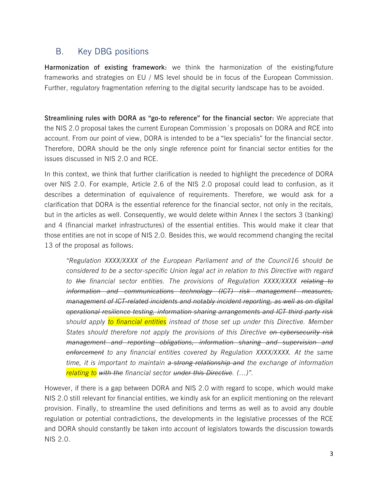## B. Key DBG positions

**Harmonization of existing framework:** we think the harmonization of the existing/future frameworks and strategies on EU / MS level should be in focus of the European Commission. Further, regulatory fragmentation referring to the digital security landscape has to be avoided.

**Streamlining rules with DORA as "go-to reference" for the financial sector:** We appreciate that the NIS 2.0 proposal takes the current European Commission´s proposals on DORA and RCE into account. From our point of view, DORA is intended to be a "lex specialis" for the financial sector. Therefore, DORA should be the only single reference point for financial sector entities for the issues discussed in NIS 2.0 and RCE.

In this context, we think that further clarification is needed to highlight the precedence of DORA over NIS 2.0. For example, Article 2.6 of the NIS 2.0 proposal could lead to confusion, as it describes a determination of equivalence of requirements. Therefore, we would ask for a clarification that DORA is the essential reference for the financial sector, not only in the recitals, but in the articles as well. Consequently, we would delete within Annex I the sectors 3 (banking) and 4 (financial market infrastructures) of the essential entities. This would make it clear that those entities are not in scope of NIS 2.0. Besides this, we would recommend changing the recital 13 of the proposal as follows:

*"Regulation XXXX/XXXX of the European Parliament and of the Council16 should be considered to be a sector-specific Union legal act in relation to this Directive with regard to the financial sector entities. The provisions of Regulation XXXX/XXXX relating to information and communications technology (ICT) risk management measures, management of ICT-related incidents and notably incident reporting, as well as on digital operational resilience testing, information sharing arrangements and ICT third party risk should apply to financial entities instead of those set up under this Directive. Member States should therefore not apply the provisions of this Directive on cybersecurity risk management and reporting obligations, information sharing and supervision and enforcement to any financial entities covered by Regulation XXXX/XXXX. At the same time, it is important to maintain a strong relationship and the exchange of information relating to with the financial sector under this Directive. (…)".*

However, if there is a gap between DORA and NIS 2.0 with regard to scope, which would make NIS 2.0 still relevant for financial entities, we kindly ask for an explicit mentioning on the relevant provision. Finally, to streamline the used definitions and terms as well as to avoid any double regulation or potential contradictions, the developments in the legislative processes of the RCE and DORA should constantly be taken into account of legislators towards the discussion towards NIS 2.0.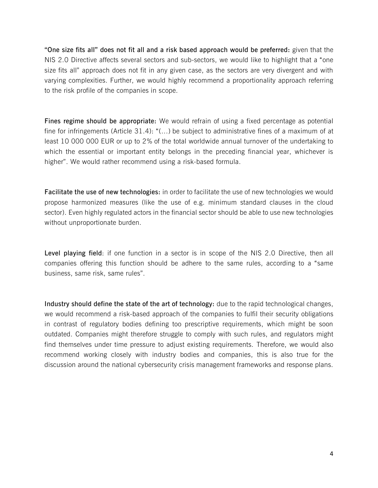**"One size fits all" does not fit all and a risk based approach would be preferred:** given that the NIS 2.0 Directive affects several sectors and sub-sectors, we would like to highlight that a "one size fits all" approach does not fit in any given case, as the sectors are very divergent and with varying complexities. Further, we would highly recommend a proportionality approach referring to the risk profile of the companies in scope.

**Fines regime should be appropriate:** We would refrain of using a fixed percentage as potential fine for infringements (Article 31.4): " $(...)$  be subject to administrative fines of a maximum of at least 10 000 000 EUR or up to 2% of the total worldwide annual turnover of the undertaking to which the essential or important entity belongs in the preceding financial year, whichever is higher". We would rather recommend using a risk-based formula.

**Facilitate the use of new technologies:** in order to facilitate the use of new technologies we would propose harmonized measures (like the use of e.g. minimum standard clauses in the cloud sector). Even highly regulated actors in the financial sector should be able to use new technologies without unproportionate burden.

**Level playing field**: if one function in a sector is in scope of the NIS 2.0 Directive, then all companies offering this function should be adhere to the same rules, according to a "same business, same risk, same rules".

**Industry should define the state of the art of technology:** due to the rapid technological changes, we would recommend a risk-based approach of the companies to fulfil their security obligations in contrast of regulatory bodies defining too prescriptive requirements, which might be soon outdated. Companies might therefore struggle to comply with such rules, and regulators might find themselves under time pressure to adjust existing requirements. Therefore, we would also recommend working closely with industry bodies and companies, this is also true for the discussion around the national cybersecurity crisis management frameworks and response plans.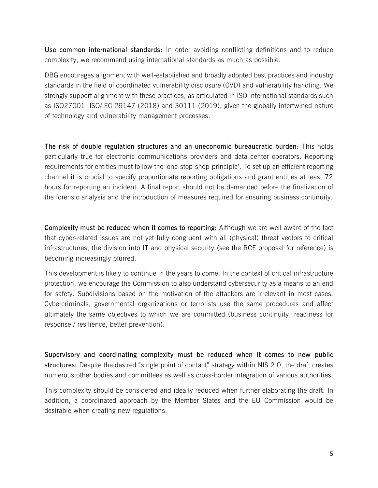**Use common international standards:** In order avoiding conflicting definitions and to reduce complexity, we recommend using international standards as much as possible.

DBG encourages alignment with well-established and broadly adopted best practices and industry standards in the field of coordinated vulnerability disclosure (CVD) and vulnerability handling. We strongly support alignment with these practices, as articulated in ISO international standards such as ISO27001, ISO/IEC 29147 (2018) and 30111 (2019), given the globally intertwined nature of technology and vulnerability management processes.

**The risk of double regulation structures and an uneconomic bureaucratic burden:** This holds particularly true for electronic communications providers and data center operators. Reporting requirements for entities must follow the 'one-stop-shop-principle'. To set up an efficient reporting channel it is crucial to specify proportionate reporting obligations and grant entities at least 72 hours for reporting an incident. A final report should not be demanded before the finalization of the forensic analysis and the introduction of measures required for ensuring business continuity.

**Complexity must be reduced when it comes to reporting:** Although we are well aware of the fact that cyber-related issues are not yet fully congruent with all (physical) threat vectors to critical infrastructures, the division into IT and physical security (see the RCE proposal for reference) is becoming increasingly blurred.

This development is likely to continue in the years to come. In the context of critical infrastructure protection, we encourage the Commission to also understand cybersecurity as a means to an end for safety. Subdivisions based on the motivation of the attackers are irrelevant in most cases. Cybercriminals, governmental organizations or terrorists use the same procedures and affect ultimately the same objectives to which we are committed (business continuity, readiness for response / resilience, better prevention).

**Supervisory and coordinating complexity must be reduced when it comes to new public structures:** Despite the desired "single point of contact" strategy within NIS 2.0, the draft creates numerous other bodies and committees as well as cross-border integration of various authorities.

This complexity should be considered and ideally reduced when further elaborating the draft. In addition, a coordinated approach by the Member States and the EU Commission would be desirable when creating new regulations.